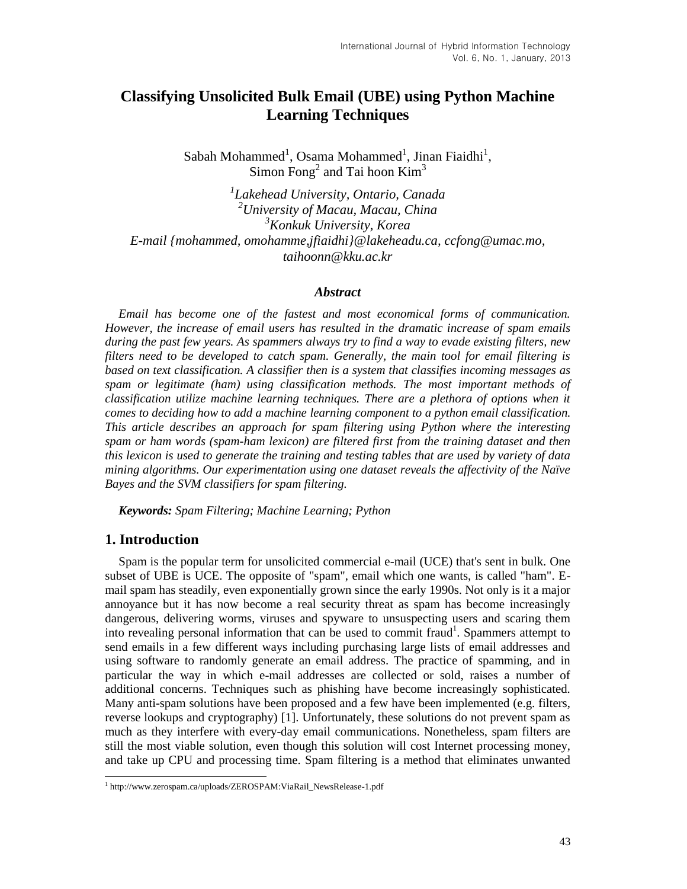# **Classifying Unsolicited Bulk Email (UBE) using Python Machine Learning Techniques**

 $S$ abah Mohammed<sup>1</sup>, Osama Mohammed<sup>1</sup>, Jinan Fiaidhi<sup>1</sup>, Simon Fong<sup>2</sup> and Tai hoon  $Kim<sup>3</sup>$ 

*1 Lakehead University, Ontario, Canada <sup>2</sup>University of Macau, Macau, China <sup>3</sup>Konkuk University, Korea E-mail {mohammed, omohamme,jfiaidhi}@lakeheadu.ca, ccfong@umac.mo, taihoonn@kku.ac.kr*

#### *Abstract*

*Email has become one of the fastest and most economical forms of communication. However, the increase of email users has resulted in the dramatic increase of spam emails during the past few years. As spammers always try to find a way to evade existing filters, new filters need to be developed to catch spam. Generally, the main tool for email filtering is based on text classification. A classifier then is a system that classifies incoming messages as spam or legitimate (ham) using classification methods. The most important methods of classification utilize machine learning techniques. There are a plethora of options when it comes to deciding how to add a machine learning component to a python email classification. This article describes an approach for spam filtering using Python where the interesting spam or ham words (spam-ham lexicon) are filtered first from the training dataset and then this lexicon is used to generate the training and testing tables that are used by variety of data mining algorithms. Our experimentation using one dataset reveals the affectivity of the Naïve Bayes and the SVM classifiers for spam filtering.*

*Keywords: Spam Filtering; Machine Learning; Python*

### **1. Introduction**

Spam is the popular term for unsolicited commercial e-mail (UCE) that's sent in bulk. One subset of UBE is UCE. The opposite of "spam", email which one wants, is called "ham". Email spam has steadily, even exponentially grown since the early 1990s. Not only is it a major annoyance but it has now become a real security threat as spam has become increasingly dangerous, delivering worms, viruses and spyware to unsuspecting users and scaring them into revealing personal information that can be used to commit fraud<sup>1</sup>. Spammers attempt to send emails in a few different ways including purchasing large lists of email addresses and using software to randomly generate an email address. The practice of spamming, and in particular the way in which e-mail addresses are collected or sold, raises a number of additional concerns. Techniques such as phishing have become increasingly sophisticated. Many anti-spam solutions have been proposed and a few have been implemented (e.g. filters, reverse lookups and cryptography) [1]. Unfortunately, these solutions do not prevent spam as much as they interfere with every-day email communications. Nonetheless, spam filters are still the most viable solution, even though this solution will cost Internet processing money, and take up CPU and processing time. Spam filtering is a method that eliminates unwanted

 1 http://www.zerospam.ca/uploads/ZEROSPAM:ViaRail\_NewsRelease-1.pdf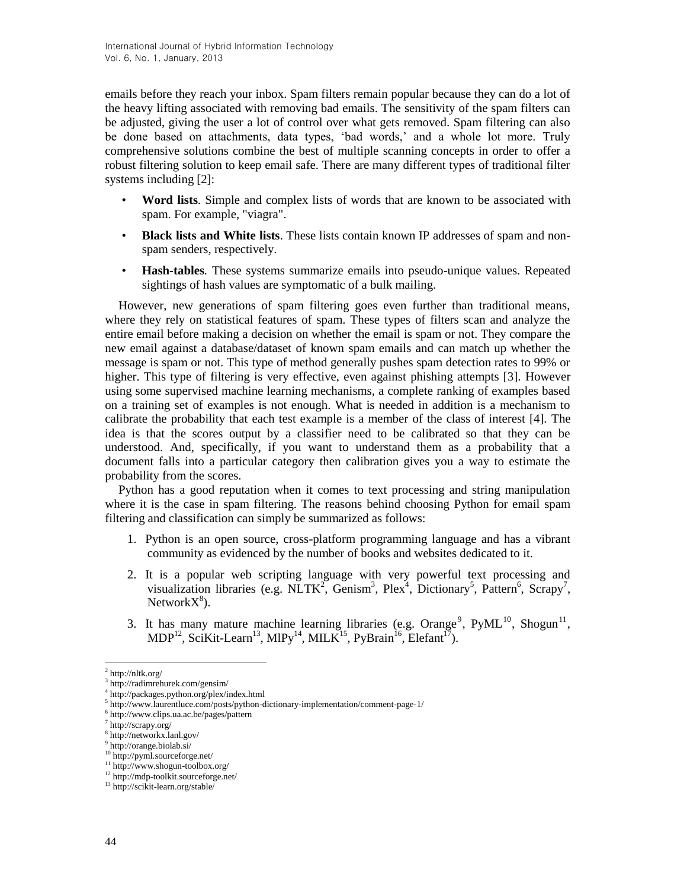emails before they reach your inbox. Spam filters remain popular because they can do a lot of the heavy lifting associated with removing bad emails. The sensitivity of the spam filters can be adjusted, giving the user a lot of control over what gets removed. Spam filtering can also be done based on attachments, data types, 'bad words,' and a whole lot more. Truly comprehensive solutions combine the best of multiple scanning concepts in order to offer a robust filtering solution to keep email safe. There are many different types of traditional filter systems including [2]:

- **Word lists***.* Simple and complex lists of words that are known to be associated with spam. For example, "viagra".
- **Black lists and White lists**. These lists contain known IP addresses of spam and nonspam senders, respectively.
- **Hash-tables***.* These systems summarize emails into pseudo-unique values. Repeated sightings of hash values are symptomatic of a bulk mailing.

However, new generations of spam filtering goes even further than traditional means, where they rely on statistical features of spam. These types of filters scan and analyze the entire email before making a decision on whether the email is spam or not. They compare the new email against a database/dataset of known spam emails and can match up whether the message is spam or not. This type of method generally pushes spam detection rates to 99% or higher. This type of filtering is very effective, even against phishing attempts [3]. However using some supervised machine learning mechanisms, a complete ranking of examples based on a training set of examples is not enough. What is needed in addition is a mechanism to calibrate the probability that each test example is a member of the class of interest [4]. The idea is that the scores output by a classifier need to be calibrated so that they can be understood. And, specifically, if you want to understand them as a probability that a document falls into a particular category then calibration gives you a way to estimate the probability from the scores.

Python has a good reputation when it comes to text processing and string manipulation where it is the case in spam filtering. The reasons behind choosing Python for email spam filtering and classification can simply be summarized as follows:

- 1. Python is an open source, cross-platform programming language and has a vibrant community as evidenced by the number of books and websites dedicated to it.
- 2. It is a popular web scripting language with very powerful text processing and visualization libraries (e.g.  $\text{NLTK}^2$ , Genism<sup>3</sup>, Plex<sup>4</sup>, Dictionary<sup>5</sup>, Pattern<sup>6</sup>, Scrapy<sup>7</sup>, Network $X^8$ ).
- 3. It has many mature machine learning libraries (e.g.  $Omega^9$ ,  $PyML^{10}$ ,  $Shogun^{11}$ ,  $MDP<sup>12</sup>$ , SciKit-Learn<sup>13</sup>, MlPy<sup>14</sup>, MILK<sup>15</sup>, PyBrain<sup>16</sup>, Elefant<sup>17</sup>).

 $2$  http://nltk.org/

<sup>3</sup> http://radimrehurek.com/gensim/

<sup>4</sup> http://packages.python.org/plex/index.html

<sup>5</sup> http://www.laurentluce.com/posts/python-dictionary-implementation/comment-page-1/

<sup>6</sup> http://www.clips.ua.ac.be/pages/pattern

<sup>7</sup> http://scrapy.org/

<sup>8</sup> http://networkx.lanl.gov/

<sup>9</sup> http://orange.biolab.si/

<sup>10</sup> http://pyml.sourceforge.net/

<sup>11</sup> http://www.shogun-toolbox.org/ <sup>12</sup> http://mdp-toolkit.sourceforge.net/

<sup>13</sup> http://scikit-learn.org/stable/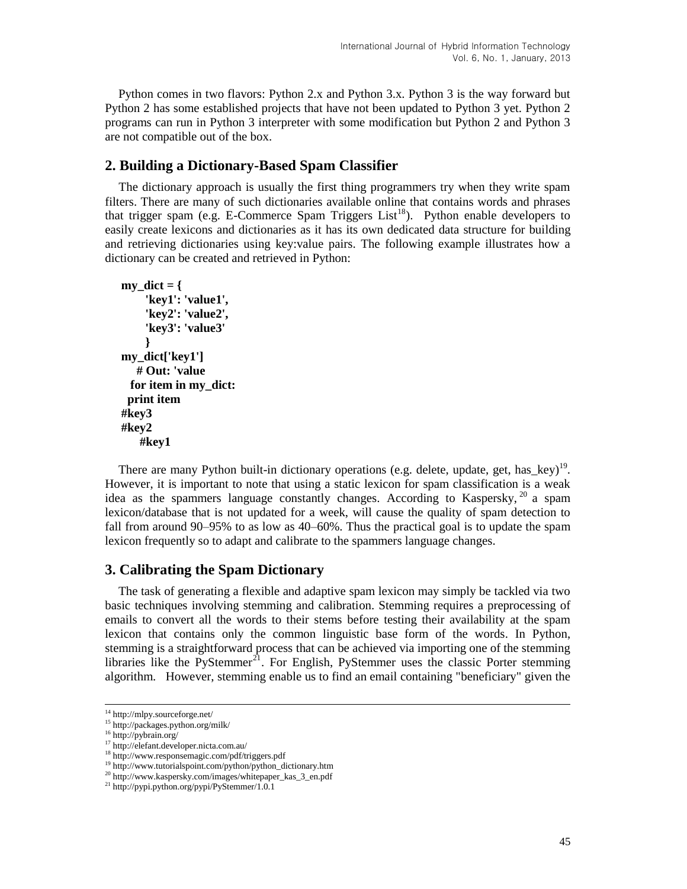Python comes in two flavors: Python 2.x and Python 3.x. Python 3 is the way forward but Python 2 has some established projects that have not been updated to Python 3 yet. Python 2 programs can run in Python 3 interpreter with some modification but Python 2 and Python 3 are not compatible out of the box.

# **2. Building a Dictionary-Based Spam Classifier**

The dictionary approach is usually the first thing programmers try when they write spam filters. There are many of such dictionaries available online that contains words and phrases that trigger spam (e.g. E-Commerce Spam Triggers List<sup>18</sup>). Python enable developers to easily create lexicons and dictionaries as it has its own dedicated data structure for building and retrieving dictionaries using key:value pairs. The following example illustrates how a dictionary can be created and retrieved in Python:

```
my \text{dict} = \{'key1': 'value1',
     'key2': 'value2',
     'key3': 'value3'
     }
my_dict['key1']
    # Out: 'value
  for item in my_dict:
  print item
#key3
#key2
    #key1
```
There are many Python built-in dictionary operations (e.g. delete, update, get, has\_key)<sup>19</sup>. However, it is important to note that using a static lexicon for spam classification is a weak idea as the spammers language constantly changes. According to Kaspersky, <sup>20</sup> a spam lexicon/database that is not updated for a week, will cause the quality of spam detection to fall from around 90–95% to as low as 40–60%. Thus the practical goal is to update the spam lexicon frequently so to adapt and calibrate to the spammers language changes.

# **3. Calibrating the Spam Dictionary**

The task of generating a flexible and adaptive spam lexicon may simply be tackled via two basic techniques involving stemming and calibration. Stemming requires a preprocessing of emails to convert all the words to their stems before testing their availability at the spam lexicon that contains only the common linguistic base form of the words. In Python, stemming is a straightforward process that can be achieved via importing one of the stemming libraries like the PyStemmer<sup>21</sup>. For English, PyStemmer uses the classic Porter stemming algorithm. However, stemming enable us to find an email containing "beneficiary" given the

-

<sup>14</sup> http://mlpy.sourceforge.net/

<sup>15</sup> http://packages.python.org/milk/

<sup>16</sup> http://pybrain.org/

<sup>17</sup> http://elefant.developer.nicta.com.au/

<sup>18</sup> http://www.responsemagic.com/pdf/triggers.pdf

<sup>&</sup>lt;sup>19</sup> http://www.tutorialspoint.com/python/python\_dictionary.htm

<sup>20</sup> http://www.kaspersky.com/images/whitepaper\_kas\_3\_en.pdf

<sup>21</sup> http://pypi.python.org/pypi/PyStemmer/1.0.1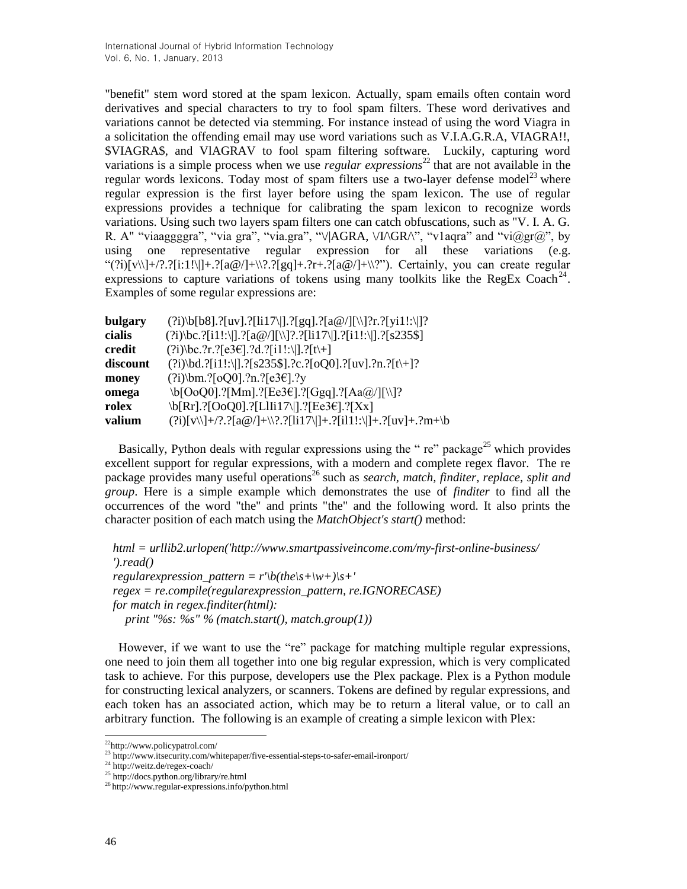"benefit" stem word stored at the spam lexicon. Actually, spam emails often contain word derivatives and special characters to try to fool spam filters. These word derivatives and variations cannot be detected via stemming. For instance instead of using the word Viagra in a solicitation the offending email may use word variations such as V.I.A.G.R.A, VIAGRA!!, \$VIAGRA\$, and VlAGRAV to fool spam filtering software. Luckily, capturing word variations is a simple process when we use *regular expressions*<sup>22</sup> that are not available in the regular words lexicons. Today most of spam filters use a two-layer defense model<sup>23</sup> where regular expression is the first layer before using the spam lexicon. The use of regular expressions provides a technique for calibrating the spam lexicon to recognize words variations. Using such two layers spam filters one can catch obfuscations, such as "V. I. A. G. R. A" "viaaggggra", "via gra", "via.gra", "\/|AGRA, \/I/\GR/\", "v1aqra" and "vi@gr@", by using one representative regular expression for all these variations (e.g. "(?i)[v\\]+/?.?[i:1!\]]+.?[a@/]+\\?.?[gq]+.?r+.?[a@/]+\\?"). Certainly, you can create regular expressions to capture variations of tokens using many toolkits like the RegEx Coach<sup>24</sup>. Examples of some regular expressions are:

| bulgary  | $(?i)\b[68].?[uv].?[li17\ ].?[gq].?[a@/[[\]\?r.?[yi1!:\]']?$           |
|----------|------------------------------------------------------------------------|
| cialis   | $(?i)\bc. ?[i1!:\1]. ?[a@/][\1]. ?[ii17\1]. ?[i1!:\1]. ?[s235$]$       |
| credit   | $(?i)$ \bc.?r.?[e3€].?d.?[i1!:\ ].?[t\+]                               |
| discount | $(?i)$ \bd.?[i1!:\ ].?[s235\$].?c.?[oQ0].?[uv].?n.?[t\+]?              |
| money    | $(?i)$ \bm.?[oQ0].?n.?[e3€].?y                                         |
| omega    | \b[OoQ0].?[Mm].?[Ee3€].?[Ggq].?[Aa@/][\\]?                             |
| rolex    | \b[Rr].?[OoQ0].?[LIIi17\ ].?[Ee3€].?[Xx]                               |
| valium   | $(?i)[v]\{}+\/?\;?[a@/]+\\??\;[ii17]\]+.\;?[ii1!]\;+.\;?[uv]+.\;?m+\b$ |

Basically, Python deals with regular expressions using the " $re$ " package<sup>25</sup> which provides excellent support for regular expressions, with a modern and complete regex flavor. The re package provides many useful operations<sup>26</sup> such as *search, match, finditer, replace, split and group*. Here is a simple example which demonstrates the use of *finditer* to find all the occurrences of the word "the" and prints "the" and the following word. It also prints the character position of each match using the *MatchObject's start()* method:

*html = urllib2.urlopen('http://www.smartpassiveincome.com/my-first-online-business/ ').read() regularexpression pattern = r'\b(the\s+\w+)\s+' regex = re.compile(regularexpression\_pattern, re.IGNORECASE) for match in regex.finditer(html): print "%s: %s" % (match.start(), match.group(1))*

However, if we want to use the "re" package for matching multiple regular expressions, one need to join them all together into one big regular expression, which is very complicated task to achieve. For this purpose, developers use the Plex package. Plex is a Python module for constructing lexical analyzers, or scanners. Tokens are defined by regular expressions, and each token has an associated action, which may be to return a literal value, or to call an arbitrary function. The following is an example of creating a simple lexicon with Plex:

<sup>22</sup>http://www.policypatrol.com/

<sup>&</sup>lt;sup>23</sup> http://www.itsecurity.com/whitepaper/five-essential-steps-to-safer-email-ironport/

<sup>24</sup> http://weitz.de/regex-coach/

<sup>&</sup>lt;sup>25</sup> http://docs.python.org/library/re.html

<sup>26</sup> http://www.regular-expressions.info/python.html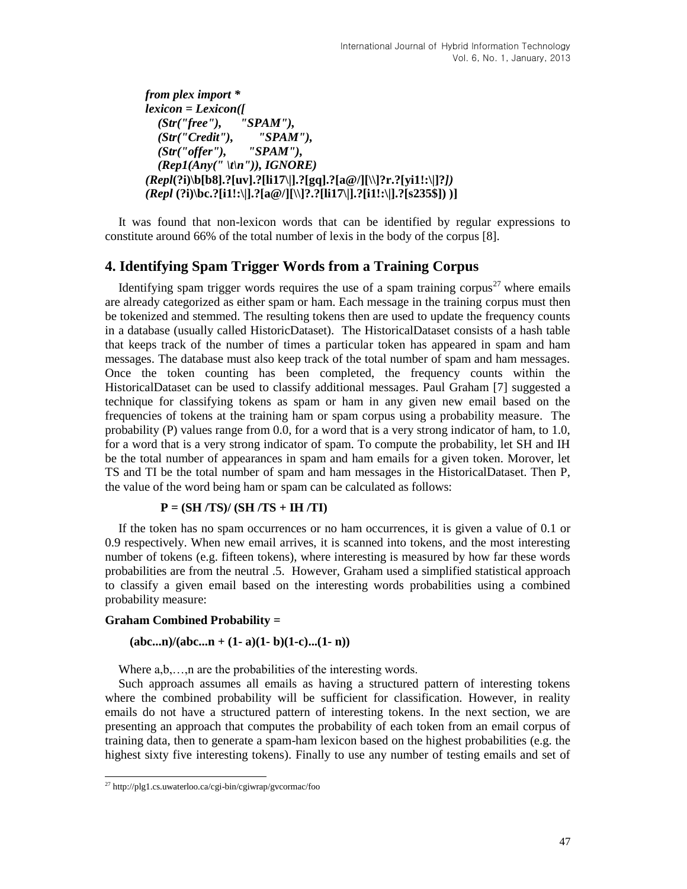*from plex import \* lexicon = Lexicon([ (Str("free"), "SPAM"), (Str("Credit"), "SPAM"), (Str("offer"), "SPAM"), (Rep1(Any(" \t\n")), IGNORE) (Repl***(?i)\b[b8].?[uv].?[li17\|].?[gq].?[a@/][\\]?r.?[yi1!:\|]?***]) (Repl* **(?i)\bc.?[i1!:\|].?[a@/][\\]?.?[li17\|].?[i1!:\|].?[s235\$]) )]**

It was found that non-lexicon words that can be identified by regular expressions to constitute around 66% of the total number of lexis in the body of the corpus [8].

### **4. Identifying Spam Trigger Words from a Training Corpus**

Identifying spam trigger words requires the use of a spam training corpus<sup>27</sup> where emails are already categorized as either spam or ham. Each message in the training corpus must then be tokenized and stemmed. The resulting tokens then are used to update the frequency counts in a database (usually called HistoricDataset). The HistoricalDataset consists of a hash table that keeps track of the number of times a particular token has appeared in spam and ham messages. The database must also keep track of the total number of spam and ham messages. Once the token counting has been completed, the frequency counts within the HistoricalDataset can be used to classify additional messages. Paul Graham [7] suggested a technique for classifying tokens as spam or ham in any given new email based on the frequencies of tokens at the training ham or spam corpus using a probability measure. The probability (P) values range from 0.0, for a word that is a very strong indicator of ham, to 1.0, for a word that is a very strong indicator of spam. To compute the probability, let SH and IH be the total number of appearances in spam and ham emails for a given token. Morover, let TS and TI be the total number of spam and ham messages in the HistoricalDataset. Then P, the value of the word being ham or spam can be calculated as follows:

### **P = (SH /TS)/ (SH /TS + IH /TI)**

If the token has no spam occurrences or no ham occurrences, it is given a value of 0.1 or 0.9 respectively. When new email arrives, it is scanned into tokens, and the most interesting number of tokens (e.g. fifteen tokens), where interesting is measured by how far these words probabilities are from the neutral .5. However, Graham used a simplified statistical approach to classify a given email based on the interesting words probabilities using a combined probability measure:

#### **Graham Combined Probability =**

### $(abc...n)/(abc...n + (1-a)(1-b)(1-c)...(1-n))$

Where  $a, b, \ldots, n$  are the probabilities of the interesting words.

Such approach assumes all emails as having a structured pattern of interesting tokens where the combined probability will be sufficient for classification. However, in reality emails do not have a structured pattern of interesting tokens. In the next section, we are presenting an approach that computes the probability of each token from an email corpus of training data, then to generate a spam-ham lexicon based on the highest probabilities (e.g. the highest sixty five interesting tokens). Finally to use any number of testing emails and set of

<sup>&</sup>lt;sup>27</sup> http://plg1.cs.uwaterloo.ca/cgi-bin/cgiwrap/gvcormac/foo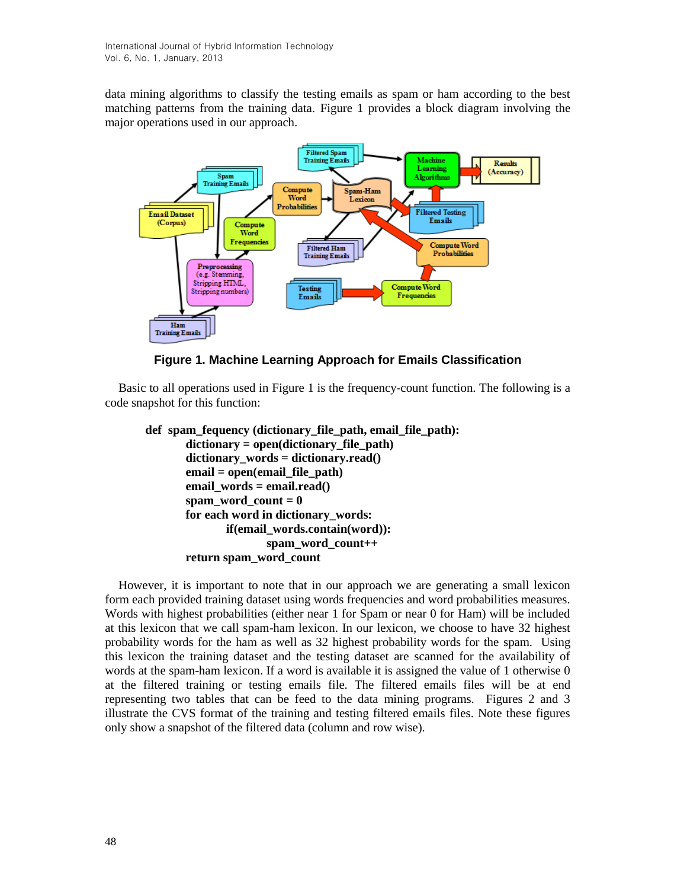data mining algorithms to classify the testing emails as spam or ham according to the best matching patterns from the training data. Figure 1 provides a block diagram involving the major operations used in our approach.



**Figure 1. Machine Learning Approach for Emails Classification**

Basic to all operations used in Figure 1 is the frequency-count function. The following is a code snapshot for this function:

```
def spam_fequency (dictionary_file_path, email_file_path):
       dictionary = open(dictionary_file_path)
       dictionary_words = dictionary.read()
       email = open(email_file_path)
       email_words = email.read()
       span word_count = 0for each word in dictionary_words:
              if(email_words.contain(word)):
                     spam_word_count++
       return spam_word_count
```
However, it is important to note that in our approach we are generating a small lexicon form each provided training dataset using words frequencies and word probabilities measures. Words with highest probabilities (either near 1 for Spam or near 0 for Ham) will be included at this lexicon that we call spam-ham lexicon. In our lexicon, we choose to have 32 highest probability words for the ham as well as 32 highest probability words for the spam. Using this lexicon the training dataset and the testing dataset are scanned for the availability of words at the spam-ham lexicon. If a word is available it is assigned the value of 1 otherwise 0 at the filtered training or testing emails file. The filtered emails files will be at end representing two tables that can be feed to the data mining programs. Figures 2 and 3 illustrate the CVS format of the training and testing filtered emails files. Note these figures only show a snapshot of the filtered data (column and row wise).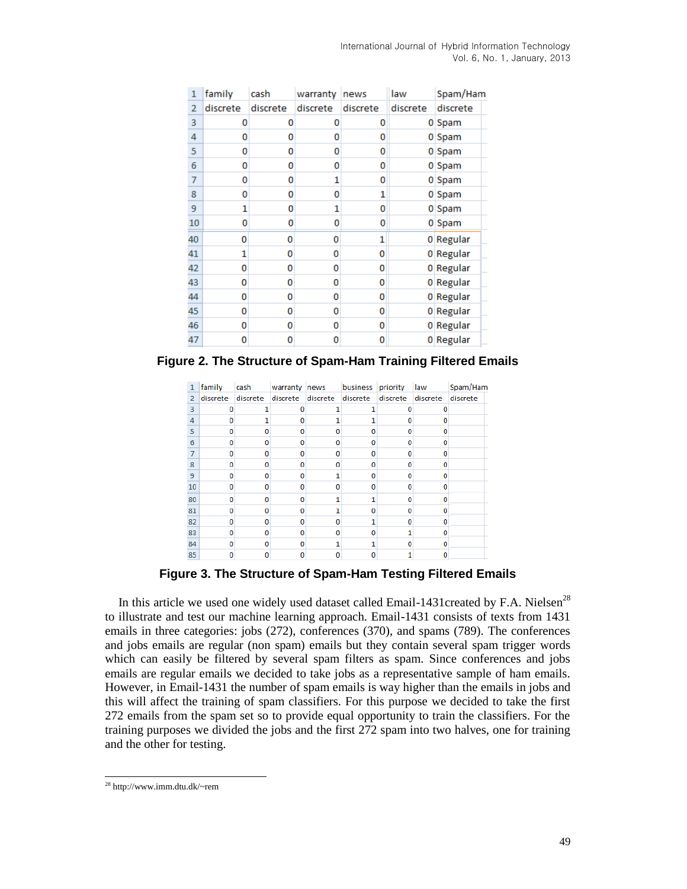| International Journal of Hybrid Information Technology |  |                              |
|--------------------------------------------------------|--|------------------------------|
|                                                        |  | Vol. 6, No. 1, January, 2013 |

| 1  | family   | cash     | warranty | news     | law      | Spam/Ham  |
|----|----------|----------|----------|----------|----------|-----------|
| 2  | discrete | discrete | discrete | discrete | discrete | discrete  |
| 3  | o        | 0        | 0        | 0        |          | 0 Spam    |
| 4  | 0        | 0        | 0        | 0        |          | 0 Spam    |
| 5  | 0        | 0        | 0        | 0        |          | 0 Spam    |
| 6  | 0        | 0        | 0        | 0        |          | 0 Spam    |
| 7  | 0        | 0        | 1        | 0        |          | 0 Spam    |
| 8  | 0        | 0        | 0        | 1        |          | 0 Spam    |
| 9  | 1        | 0        | 1        | o        |          | 0 Spam    |
| 10 | 0        | 0        | 0        | 0        |          | 0 Spam    |
| 40 | 0        | 0        | 0        | 1        |          | 0 Regular |
| 41 | 1        | 0        | 0        | 0        |          | 0 Regular |
| 42 | 0        | 0        | 0        | 0        |          | 0 Regular |
| 43 | 0        | 0        | 0        | 0        |          | 0 Regular |
| 44 | 0        | 0        | o        | 0        |          | 0 Regular |
| 45 | 0        | 0        | 0        | 0        |          | 0 Regular |
| 46 | 0        | 0        | o        | 0        |          | 0 Regular |
| 47 | 0        | 0        | 0        | 0        |          | 0 Regular |

**Figure 2. The Structure of Spam-Ham Training Filtered Emails**

| 1              | family   | cash         | warranty news |          | business priority |          | law      | Spam/Ham |
|----------------|----------|--------------|---------------|----------|-------------------|----------|----------|----------|
| $\overline{2}$ | discrete | discrete     | discrete      | discrete | discrete          | discrete | discrete | discrete |
| 3              |          |              |               |          |                   |          |          |          |
| 4              |          |              |               |          |                   |          | n        |          |
| 5              |          | o            |               |          |                   |          | 0        |          |
| 6              | n        | 0            |               | o        | 0                 |          | 0        |          |
| 7              | n        | $\mathbf{0}$ |               | o        | O                 | n        | o        |          |
| 8              |          | O            |               |          | n                 |          | n        |          |
| 9              | n        | 0            |               |          | 0                 |          | 0        |          |
| 10             | n        | 0            |               | n        | O                 |          | n        |          |
| 80             | n        | 0            |               |          |                   |          | Ω        |          |
| 81             |          | 0            |               |          | n                 |          |          |          |
| 82             |          | n            |               |          |                   |          | n        |          |
| 83             |          | 0            |               | n        | 0                 |          | 0        |          |
| 84             |          | $\mathbf{0}$ |               |          |                   |          | n        |          |
| 85             |          | n            |               |          |                   |          |          |          |

**Figure 3. The Structure of Spam-Ham Testing Filtered Emails**

In this article we used one widely used dataset called Email-1431created by F.A. Nielsen<sup>28</sup> to illustrate and test our machine learning approach. Email-1431 consists of texts from 1431 emails in three categories: jobs (272), conferences (370), and spams (789). The conferences and jobs emails are regular (non spam) emails but they contain several spam trigger words which can easily be filtered by several spam filters as spam. Since conferences and jobs emails are regular emails we decided to take jobs as a representative sample of ham emails. However, in Email-1431 the number of spam emails is way higher than the emails in jobs and this will affect the training of spam classifiers. For this purpose we decided to take the first 272 emails from the spam set so to provide equal opportunity to train the classifiers. For the training purposes we divided the jobs and the first 272 spam into two halves, one for training and the other for testing.

l <sup>28</sup> http://www.imm.dtu.dk/~rem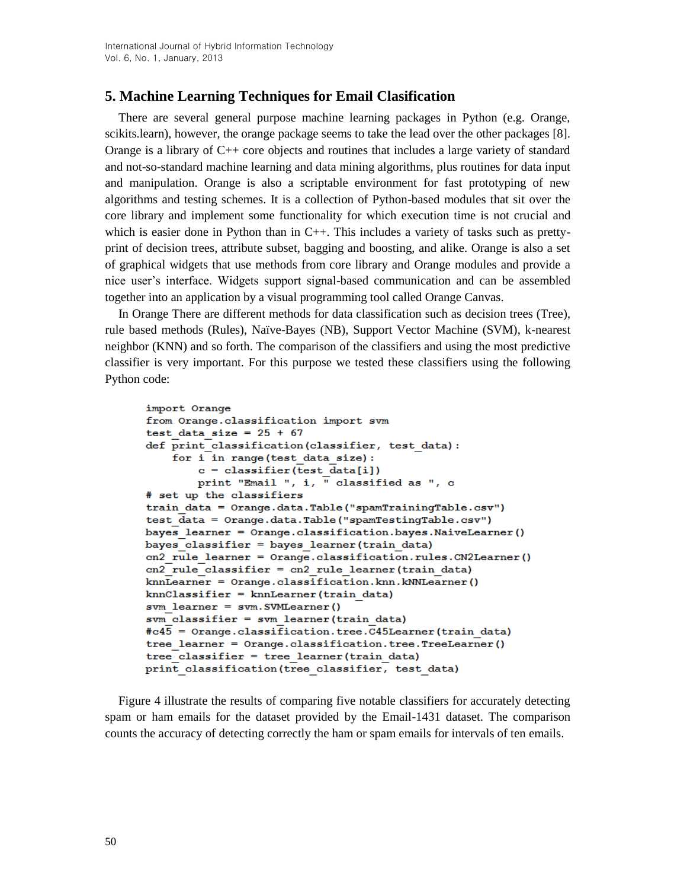# **5. Machine Learning Techniques for Email Clasification**

There are several general purpose machine learning packages in Python (e.g. Orange, scikits.learn), however, the orange package seems to take the lead over the other packages [8]. Orange is a library of  $C_{++}$  core objects and routines that includes a large variety of standard and not-so-standard machine learning and data mining algorithms, plus routines for data input and manipulation. Orange is also a scriptable environment for fast prototyping of new algorithms and testing schemes. It is a collection of Python-based modules that sit over the core library and implement some functionality for which execution time is not crucial and which is easier done in Python than in  $C_{++}$ . This includes a variety of tasks such as prettyprint of decision trees, attribute subset, bagging and boosting, and alike. Orange is also a set of graphical widgets that use methods from core library and Orange modules and provide a nice user's interface. Widgets support signal-based communication and can be assembled together into an application by a visual programming tool called Orange Canvas.

In Orange There are different methods for data classification such as decision trees (Tree), rule based methods (Rules), Naïve-Bayes (NB), Support Vector Machine (SVM), k-nearest neighbor (KNN) and so forth. The comparison of the classifiers and using the most predictive classifier is very important. For this purpose we tested these classifiers using the following Python code:

```
import Orange
from Orange.classification import svm
test data size = 25 + 67def print classification(classifier, test data):
    for i in range (test data size):
        c = classifier(test data[i])print "Email ", i, \overline{N} classified as ", c
# set up the classifiers
train data = Orange.data.Table("spamTrainingTable.csv")
test \overline{data} = Orange.data.Table("spamTestingTable.csv")
bayes learner = Orange.classification.bayes.NaiveLearner()
bayes classifier = bayes learner (train data)
cn2 rule learner = Orange.classification.rules.CN2Learner()
cn2 rule classifier = cn2 rule learner (train data)
knnLearner = Orange.classification.knn.kNNLearner()
knnClassifier = knnLearner (train data)
svm learner = svm. SVMLearner()
sym classifier = sym learner (train data)
#c45 = Orange.classification.tree.C45Learner(train data)
tree learner = Orange.classification.tree.TreeLearner()
tree classifier = tree learner (train data)
print classification(tree classifier, test data)
```
Figure 4 illustrate the results of comparing five notable classifiers for accurately detecting spam or ham emails for the dataset provided by the Email-1431 dataset. The comparison counts the accuracy of detecting correctly the ham or spam emails for intervals of ten emails.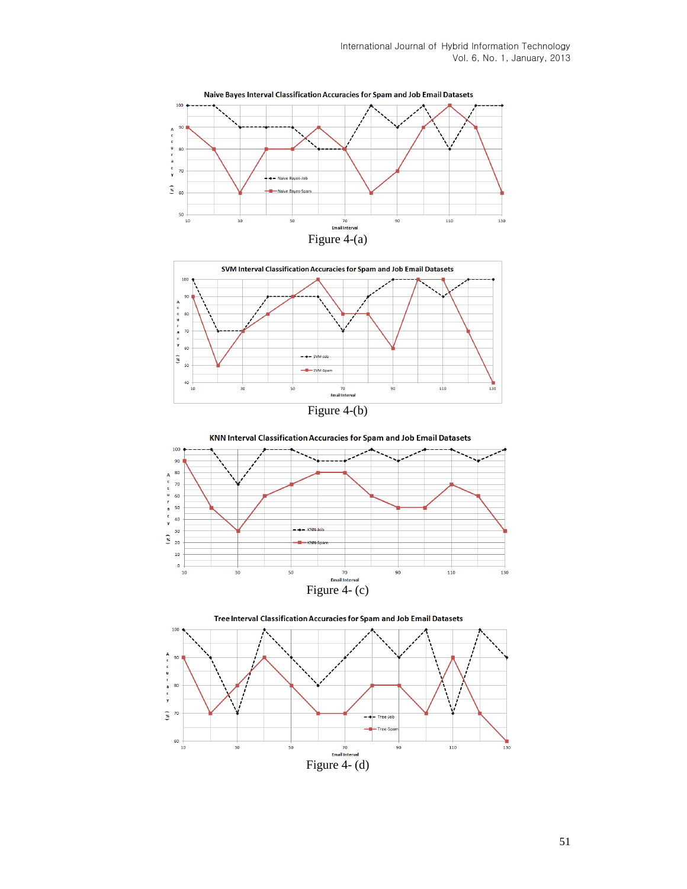





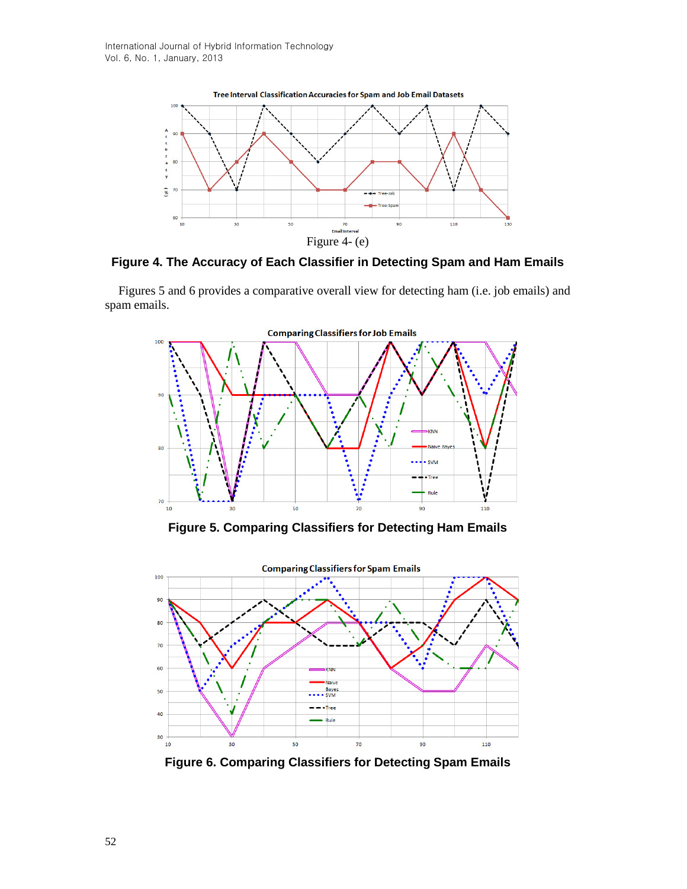

**Figure 4. The Accuracy of Each Classifier in Detecting Spam and Ham Emails**

Figures 5 and 6 provides a comparative overall view for detecting ham (i.e. job emails) and spam emails.



**Figure 5. Comparing Classifiers for Detecting Ham Emails**



**Figure 6. Comparing Classifiers for Detecting Spam Emails**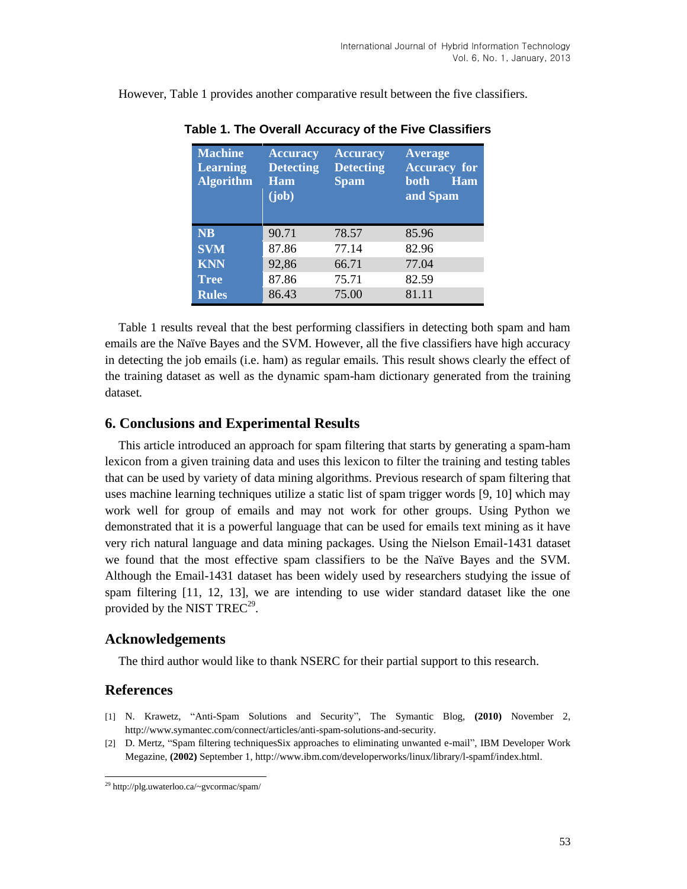| <b>Machine</b><br><b>Learning</b><br><b>Algorithm</b> | <b>Accuracy</b><br><b>Detecting</b><br>Ham<br>(iob) | <b>Accuracy</b><br><b>Detecting</b><br><b>Spam</b> | <b>Average</b><br><b>Accuracy</b> for<br><b>Ham</b><br>both<br>and Spam |
|-------------------------------------------------------|-----------------------------------------------------|----------------------------------------------------|-------------------------------------------------------------------------|
| <b>NB</b>                                             | 90.71                                               | 78.57                                              | 85.96                                                                   |
| <b>SVM</b>                                            | 87.86                                               | 77.14                                              | 82.96                                                                   |
| <b>KNN</b>                                            | 92,86                                               | 66.71                                              | 77.04                                                                   |
| <b>Tree</b>                                           | 87.86                                               | 75.71                                              | 82.59                                                                   |
| <b>Rules</b>                                          | 86.43                                               | 75.00                                              | 81.11                                                                   |

**Table 1. The Overall Accuracy of the Five Classifiers**

However, Table 1 provides another comparative result between the five classifiers.

Table 1 results reveal that the best performing classifiers in detecting both spam and ham emails are the Naïve Bayes and the SVM. However, all the five classifiers have high accuracy in detecting the job emails (i.e. ham) as regular emails. This result shows clearly the effect of the training dataset as well as the dynamic spam-ham dictionary generated from the training dataset*.*

### **6. Conclusions and Experimental Results**

This article introduced an approach for spam filtering that starts by generating a spam-ham lexicon from a given training data and uses this lexicon to filter the training and testing tables that can be used by variety of data mining algorithms. Previous research of spam filtering that uses machine learning techniques utilize a static list of spam trigger words [9, 10] which may work well for group of emails and may not work for other groups. Using Python we demonstrated that it is a powerful language that can be used for emails text mining as it have very rich natural language and data mining packages. Using the Nielson Email-1431 dataset we found that the most effective spam classifiers to be the Naïve Bayes and the SVM. Although the Email-1431 dataset has been widely used by researchers studying the issue of spam filtering [11, 12, 13], we are intending to use wider standard dataset like the one provided by the NIST TREC<sup>29</sup>.

#### **Acknowledgements**

The third author would like to thank NSERC for their partial support to this research.

#### **References**

- [1] N. Krawetz, "Anti-Spam Solutions and Security", The Symantic Blog, **(2010)** November 2, http://www.symantec.com/connect/articles/anti-spam-solutions-and-security.
- [2] D. Mertz, "Spam filtering techniquesSix approaches to eliminating unwanted e-mail", IBM Developer Work Megazine, **(2002)** September 1, http://www.ibm.com/developerworks/linux/library/l-spamf/index.html.

<sup>29</sup> http://plg.uwaterloo.ca/~gvcormac/spam/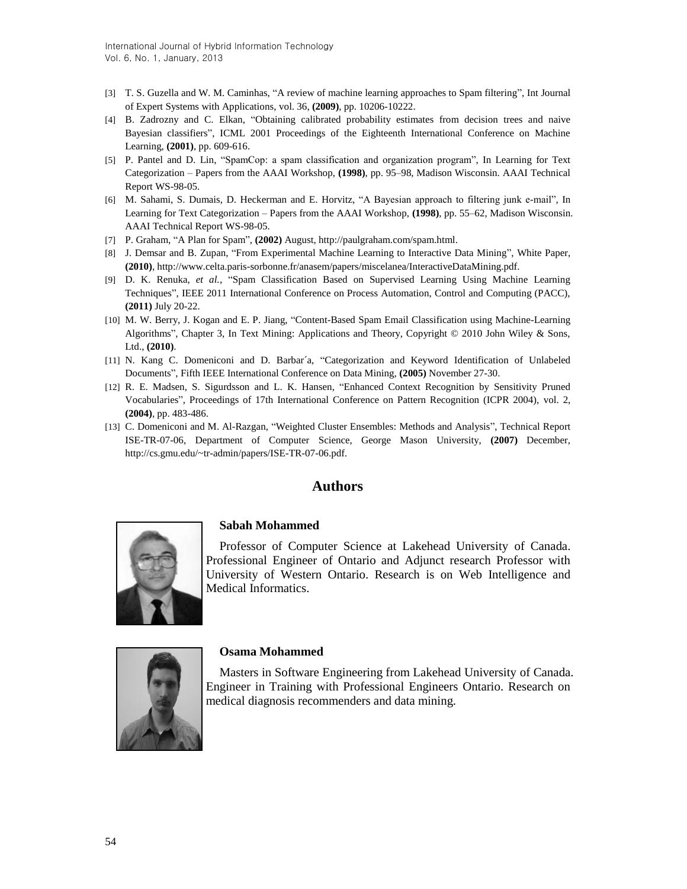- [3] T. S. Guzella and W. M. Caminhas, "A review of machine learning approaches to Spam filtering", Int Journal of Expert Systems with Applications, vol. 36, **(2009)**, pp. 10206-10222.
- [4] B. Zadrozny and C. Elkan, "Obtaining calibrated probability estimates from decision trees and naive Bayesian classifiers", ICML 2001 Proceedings of the Eighteenth International Conference on Machine Learning, **(2001)**, pp. 609-616.
- [5] P. Pantel and D. Lin, "SpamCop: a spam classification and organization program", In Learning for Text Categorization – Papers from the AAAI Workshop, **(1998)**, pp. 95–98, Madison Wisconsin. AAAI Technical Report WS-98-05.
- [6] M. Sahami, S. Dumais, D. Heckerman and E. Horvitz, "A Bayesian approach to filtering junk e-mail", In Learning for Text Categorization – Papers from the AAAI Workshop, **(1998)**, pp. 55–62, Madison Wisconsin. AAAI Technical Report WS-98-05.
- [7] P. Graham, "A Plan for Spam", **(2002)** August, http://paulgraham.com/spam.html.
- [8] J. Demsar and B. Zupan, "From Experimental Machine Learning to Interactive Data Mining", White Paper, **(2010)**, http://www.celta.paris-sorbonne.fr/anasem/papers/miscelanea/InteractiveDataMining.pdf.
- [9] D. K. Renuka, *et al.*, "Spam Classification Based on Supervised Learning Using Machine Learning Techniques", IEEE 2011 International Conference on Process Automation, Control and Computing (PACC), **(2011)** July 20-22.
- [10] M. W. Berry, J. Kogan and E. P. Jiang, "Content-Based Spam Email Classification using Machine-Learning Algorithms", Chapter 3, In Text Mining: Applications and Theory, Copyright © 2010 John Wiley & Sons, Ltd., **(2010)**.
- [11] N. Kang C. Domeniconi and D. Barbar´a, "Categorization and Keyword Identification of Unlabeled Documents", Fifth IEEE International Conference on Data Mining, **(2005)** November 27-30.
- [12] R. E. Madsen, S. Sigurdsson and L. K. Hansen, "Enhanced Context Recognition by Sensitivity Pruned Vocabularies", Proceedings of 17th International Conference on Pattern Recognition (ICPR 2004), vol. 2, **(2004)**, pp. 483-486.
- [13] C. Domeniconi and M. Al-Razgan, "Weighted Cluster Ensembles: Methods and Analysis", Technical Report ISE-TR-07-06, Department of Computer Science, George Mason University, **(2007)** December, http://cs.gmu.edu/~tr-admin/papers/ISE-TR-07-06.pdf.

# **Authors**



#### **Sabah Mohammed**

Professor of Computer Science at Lakehead University of Canada. Professional Engineer of Ontario and Adjunct research Professor with University of Western Ontario. Research is on Web Intelligence and Medical Informatics.



#### **Osama Mohammed**

Masters in Software Engineering from Lakehead University of Canada. Engineer in Training with Professional Engineers Ontario. Research on medical diagnosis recommenders and data mining.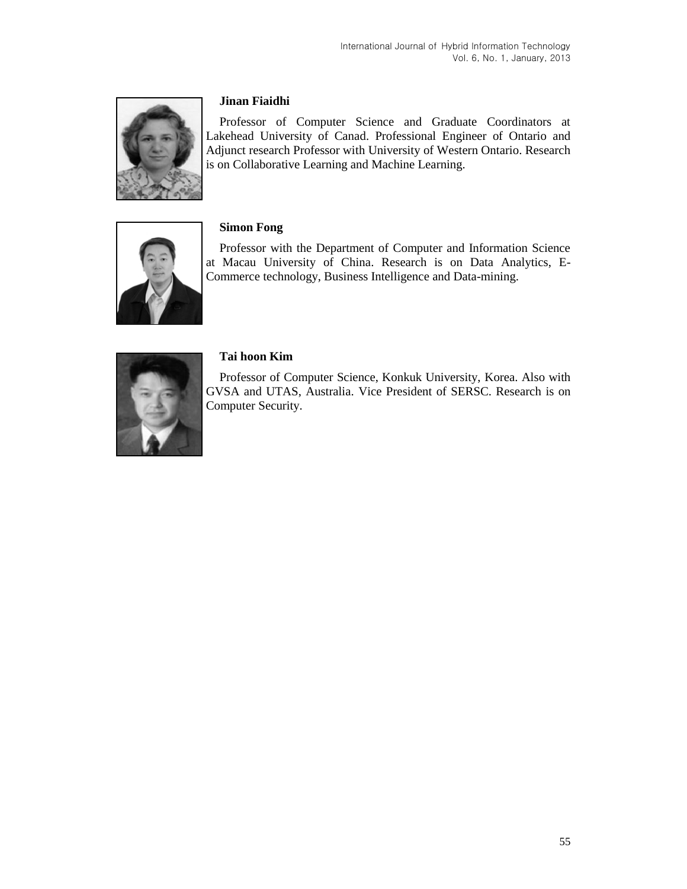

### **Jinan Fiaidhi**

Professor of Computer Science and Graduate Coordinators at Lakehead University of Canad. Professional Engineer of Ontario and Adjunct research Professor with University of Western Ontario. Research is on Collaborative Learning and Machine Learning.



### **Simon Fong**

Professor with the Department of Computer and Information Science at Macau University of China. Research is on Data Analytics, E-Commerce technology, Business Intelligence and Data-mining.



### **Tai hoon Kim**

Professor of Computer Science, Konkuk University, Korea. Also with GVSA and UTAS, Australia. Vice President of SERSC. Research is on Computer Security.